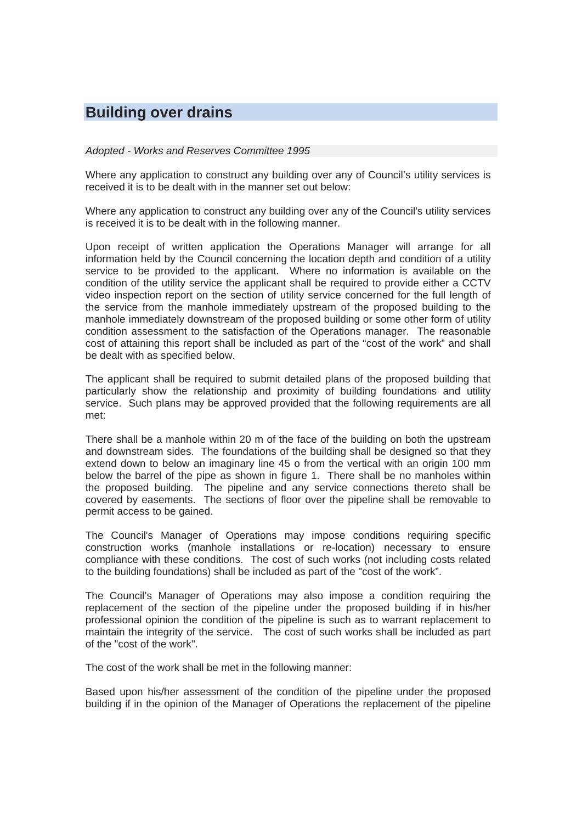## **Building over drains**

*Adopted - Works and Reserves Committee 1995* 

Where any application to construct any building over any of Council's utility services is received it is to be dealt with in the manner set out below:

Where any application to construct any building over any of the Council's utility services is received it is to be dealt with in the following manner.

Upon receipt of written application the Operations Manager will arrange for all information held by the Council concerning the location depth and condition of a utility service to be provided to the applicant. Where no information is available on the condition of the utility service the applicant shall be required to provide either a CCTV video inspection report on the section of utility service concerned for the full length of the service from the manhole immediately upstream of the proposed building to the manhole immediately downstream of the proposed building or some other form of utility condition assessment to the satisfaction of the Operations manager. The reasonable cost of attaining this report shall be included as part of the "cost of the work" and shall be dealt with as specified below.

The applicant shall be required to submit detailed plans of the proposed building that particularly show the relationship and proximity of building foundations and utility service. Such plans may be approved provided that the following requirements are all met:

There shall be a manhole within 20 m of the face of the building on both the upstream and downstream sides. The foundations of the building shall be designed so that they extend down to below an imaginary line 45 o from the vertical with an origin 100 mm below the barrel of the pipe as shown in figure 1. There shall be no manholes within the proposed building. The pipeline and any service connections thereto shall be covered by easements. The sections of floor over the pipeline shall be removable to permit access to be gained.

The Council's Manager of Operations may impose conditions requiring specific construction works (manhole installations or re-location) necessary to ensure compliance with these conditions. The cost of such works (not including costs related to the building foundations) shall be included as part of the "cost of the work".

The Council's Manager of Operations may also impose a condition requiring the replacement of the section of the pipeline under the proposed building if in his/her professional opinion the condition of the pipeline is such as to warrant replacement to maintain the integrity of the service. The cost of such works shall be included as part of the "cost of the work".

The cost of the work shall be met in the following manner:

Based upon his/her assessment of the condition of the pipeline under the proposed building if in the opinion of the Manager of Operations the replacement of the pipeline